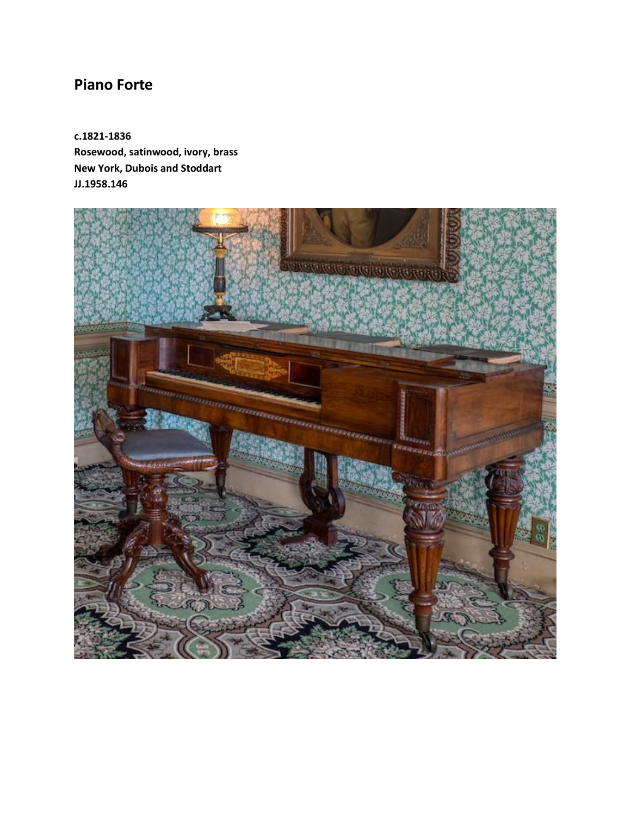## **Piano Forte**

**c.1821-1836 Rosewood, satinwood, ivory, brass New York, Dubois and Stoddart JJ.1958.146**